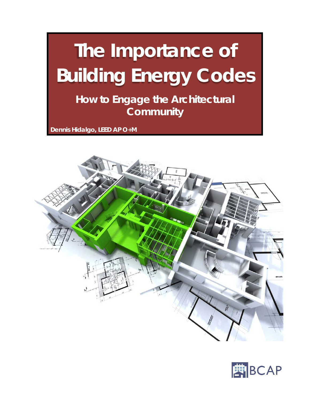# **The Importance of Building Energy Codes**

**How to Engage the Architectural Community**

**Dennis Hidalgo, LEED AP O+M**



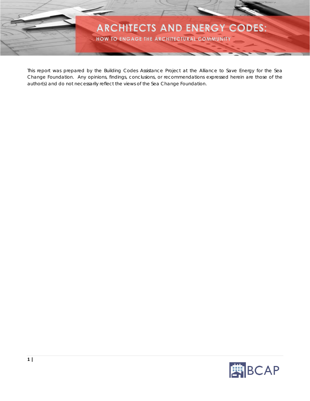

This report was prepared by the Building Codes Assistance Project at the Alliance to Save Energy for the Sea Change Foundation. Any opinions, findings, conclusions, or recommendations expressed herein are those of the author(s) and do not necessarily reflect the views of the Sea Change Foundation.

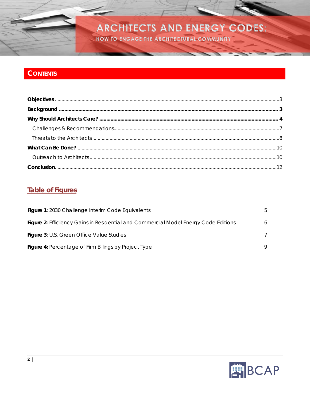HOW TO ENGAGE THE ARCHITECTURAL COMMUNITY

## **CONTENTS**

### **Table of Figures**

| Figure 1: 2030 Challenge Interim Code Equivalents                                          |              |
|--------------------------------------------------------------------------------------------|--------------|
| <b>Figure 2:</b> Efficiency Gains in Residential and Commercial Model Energy Code Editions | <sub>0</sub> |
| <b>Figure 3: U.S. Green Office Value Studies</b>                                           |              |
| Figure 4: Percentage of Firm Billings by Project Type                                      |              |

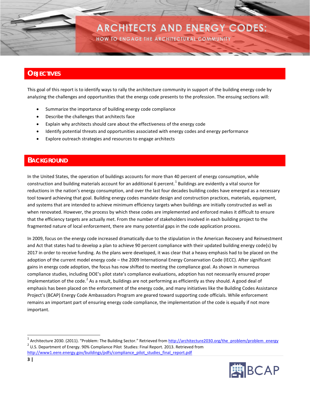HOW TO ENGAGE THE ARCHITECTURAL COMMUNITY

### <span id="page-3-0"></span>**OBJECTIVES**

This goal of this report is to identify ways to rally the architecture community in support of the building energy code by analyzing the challenges and opportunities that the energy code presents to the profession. The ensuing sections will:

- Summarize the importance of building energy code compliance
- Describe the challenges that architects face
- Explain why architects should care about the effectiveness of the energy code
- Identify potential threats and opportunities associated with energy codes and energy performance
- Explore outreach strategies and resources to engage architects

### <span id="page-3-1"></span>**BACKGROUND**

In the United States, the operation of buildings accounts for more than 40 percent of energy consumption, while construction and building materials account for an additional 6 percent.<sup>[1](#page-3-2)</sup> Buildings are evidently a vital source for reductions in the nation's energy consumption, and over the last four decades building codes have emerged as a necessary tool toward achieving that goal. Building energy codes mandate design and construction practices, materials, equipment, and systems that are intended to achieve minimum efficiency targets when buildings are initially constructed as well as when renovated. However, the process by which these codes are implemented and enforced makes it difficult to ensure that the efficiency targets are actually met. From the number of stakeholders involved in each building project to the fragmented nature of local enforcement, there are many potential gaps in the code application process.

In 2009, focus on the energy code increased dramatically due to the stipulation in the American Recovery and Reinvestment and Act that states had to develop a plan to achieve 90 percent compliance with their updated building energy code(s) by 2017 in order to receive funding. As the plans were developed, it was clear that a heavy emphasis had to be placed on the adoption of the current model energy code – the 2009 International Energy Conservation Code (IECC). After significant gains in energy code adoption, the focus has now shifted to meeting the compliance goal. As shown in numerous compliance studies, including DOE's pilot state's compliance evaluations, adoption has not necessarily ensured proper implementation of the code.<sup>[2](#page-3-3)</sup> As a result, buildings are not performing as efficiently as they should. A good deal of emphasis has been placed on the enforcement of the energy code, and many initiatives like the Building Codes Assistance Project's (BCAP) Energy Code Ambassadors Program are geared toward supporting code officials. While enforcement remains an important part of ensuring energy code compliance, the implementation of the code is equally if not more important.

<span id="page-3-3"></span><span id="page-3-2"></span><sup>&</sup>lt;sup>1</sup> Architecture 2030. (2011). "Problem: The Building Sector." Retrieved from  $\frac{http://architecture2030.org/the_prob/problem/energy}{$ <br><sup>2</sup> U.S. Department of Energy. 90% Compliance Pilot Studies: Final Report. 2013. Retrieved from [http://www1.eere.energy.gov/buildings/pdfs/compliance\\_pilot\\_studies\\_final\\_report.pdf](http://www1.eere.energy.gov/buildings/pdfs/compliance_pilot_studies_final_report.pdf)

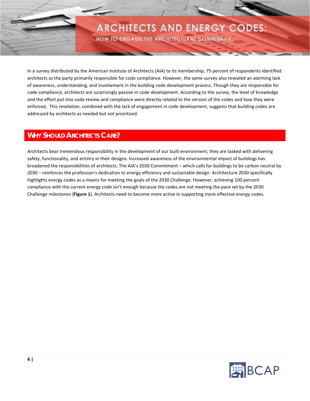HOW TO ENGAGE THE ARCHITECTURAL COMMUNITY

In a survey distributed by the American Institute of Architects (AIA) to its membership, 75 percent of respondents identified architects as the party primarily responsible for code compliance. However, the same survey also revealed an alarming lack of awareness, understanding, and involvement in the building code development process. Though they are responsible for code compliance, architects are surprisingly passive in code development. According to the survey, the level of knowledge and the effort put into code review and compliance were directly related to the version of the codes and how they were enforced, This revelation, combined with the lack of engagement in code development, suggests that building codes are addressed by architects as needed but not prioritized.

### <span id="page-4-0"></span>**WHY SHOULD ARCHITECTS CARE?**

Architects bear tremendous responsibility in the development of our built environment; they are tasked with delivering safety, functionality, and artistry in their designs. Increased awareness of the environmental impact of buildings has broadened the responsibilities of architects. The AIA's 2030 Commitment – which calls for buildings to be carbon neutral by 2030 – reinforces the profession's dedication to energy efficiency and sustainable design. Architecture 2030 specifically highlights energy codes as a means for meeting the goals of the 2030 Challenge. However, achieving 100 percent compliance with the current energy code isn't enough because the codes are not meeting the pace set by the 2030 Challenge milestones (**Figure 1**). Architects need to become more active in supporting more effective energy codes.

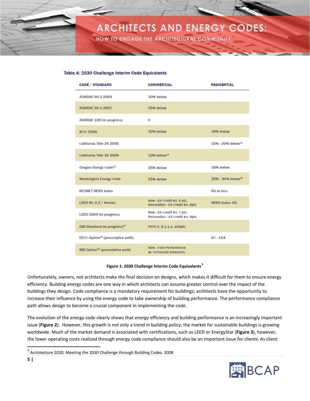

**HOW TO ENGAGE THE ARCHITECTURAL COMMUNITY** 

#### Table A: 2030 Challenge Interim Code Equivalents

| <b>CODE / STANDARD</b>                        | <b>COMMERCIAL</b>                                            | <b>RESIDENTIAL</b>              |
|-----------------------------------------------|--------------------------------------------------------------|---------------------------------|
| <b>ASHRAE 90.1-2004</b>                       | 30% below                                                    |                                 |
| <b>ASHRAE 90.1-2007</b>                       | 25% below                                                    |                                 |
| <b>ASHRAE 189 (in progress)</b>               | $\Omega$                                                     |                                 |
| <b>IECC 2006</b>                              | 30% below                                                    | 30% below                       |
| California Title 24 2005                      |                                                              | $15% - 20%$ below <sup>13</sup> |
| California Title 24 2008                      | $10%$ below <sup>14</sup>                                    |                                 |
| Oregon Energy Code <sup>15</sup>              | 25% below                                                    | 30% below                       |
| <b>Washington Energy Code</b>                 | 25% below                                                    | $25% - 30%$ below <sup>16</sup> |
| <b>RESNET HERS Index</b>                      |                                                              | 65 or less                      |
| LEED NC 2.2 / Homes                           | New - EA Credit #1: 6 pts<br>Renovation - EA Credit #1: 8pts | <b>HERS Index: 65</b>           |
| LEED 2009 (in progress)                       | New - EA Credit #1: 7 pts<br>Renovation - EA Credit #1: 9pts |                                 |
| GBI Standard (in progress) <sup>17</sup>      | PATH A, 8.1.1.1: 150pts                                      |                                 |
| EECC Option <sup>18</sup> (prescriptive path) |                                                              | $FC - 154$                      |
| NBI Option <sup>19</sup> (prescriptive path)  | <b>New - Core Performance</b><br>w/enhanced measures         |                                 |

#### **Figure 1: 2030 Challenge Interim Code Equivalents[3](#page-5-1)**

<span id="page-5-0"></span>Unfortunately, owners, not architects make the final decision on designs, which makes it difficult for them to ensure energy efficiency. Building energy codes are one way in which architects can assume greater control over the impact of the buildings they design. Code compliance is a mandatory requirement for buildings; architects have the opportunity to increase their influence by using the energy code to take ownership of building performance. The performance compliance path allows design to become a crucial component in implementing the code.

The evolution of the energy code clearly shows that energy efficiency and building performance is an increasingly important issue (**Figure 2**). However, this growth is not only a trend in building policy; the market for sustainable buildings is growing worldwide. Much of the market demand is associated with certifications, such as LEED or EnergyStar (**Figure 3**), however, the lower operating costs realized through energy code compliance should also be an important issue for clients. As client



<span id="page-5-1"></span> <sup>3</sup> Architecture 2030. Meeting the 2030 Challenge through Building Codes. 2008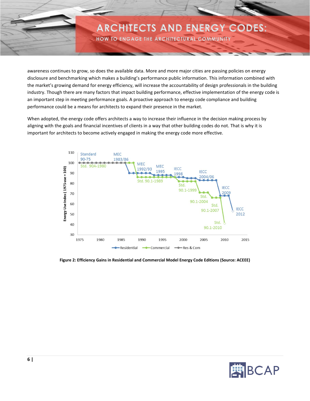HOW TO ENGAGE THE ARCHITECTURAL COMMUNITY

awareness continues to grow, so does the available data. More and more major cities are passing policies on energy disclosure and benchmarking which makes a building's performance public information. This information combined with the market's growing demand for energy efficiency, will increase the accountability of design professionals in the building industry. Though there are many factors that impact building performance, effective implementation of the energy code is an important step in meeting performance goals. A proactive approach to energy code compliance and building performance could be a means for architects to expand their presence in the market.

When adopted, the energy code offers architects a way to increase their influence in the decision making process by aligning with the goals and financial incentives of clients in a way that other building codes do not. That is why it is important for architects to become actively engaged in making the energy code more effective.



<span id="page-6-0"></span>**Figure 2: Efficiency Gains in Residential and Commercial Model Energy Code Editions (Source: ACEEE)**

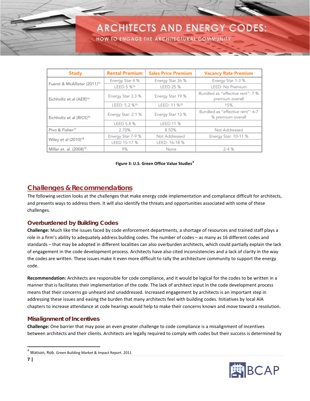HOW TO ENGAGE THE ARCHITECTURAL COMMUNITY

| <b>Study</b>                                                                 | <b>Rental Premium</b>     | <b>Sales Price Premium</b>                          | <b>Vacancy Rate Premium</b>                           |
|------------------------------------------------------------------------------|---------------------------|-----------------------------------------------------|-------------------------------------------------------|
|                                                                              | Energy Star 4 %           | Energy Star 26 %                                    | Energy Star 1-3 %                                     |
| Fuerst & McAllister (2011) <sup>12</sup>                                     | LEED 5 %13                | <b>LEED 25 %</b>                                    | <b>LEED: No Premium</b>                               |
| Energy Star 19 %<br>Energy Star 3.3 %<br>Eichholtz et al (AER) <sup>14</sup> |                           | Bundled as "effective rent": 7 %<br>premium overall |                                                       |
|                                                                              | LEED: 5.2 % <sup>15</sup> | LEED: 11 % <sup>15</sup>                            | 15%                                                   |
| Eichholtz et al (RICS) <sup>16</sup>                                         | Energy Star: 2.1 %        | Energy Star 13 %                                    | Bundled as "effective rent": 6-7<br>% premium overall |
|                                                                              | LEED 5.8 %                | <b>LEED 11 %</b>                                    |                                                       |
| Pivo & Fisher <sup>17</sup>                                                  | 2.70%                     | 8.50%                                               | Not Addressed                                         |
| Wiley et al (2010) <sup>18</sup>                                             | Energy Star 7-9 %         | Not Addressed                                       | Energy Star: 10-11 %                                  |
|                                                                              | LEED 15-17 %              | LEED: 16-18 %                                       |                                                       |
| Miller et. al. (2008) <sup>19</sup>                                          | 9%                        | None                                                | $2 - 4%$                                              |

#### **Figure 3: U.S. Green Office Value Studies[4](#page-7-2)**

### <span id="page-7-1"></span><span id="page-7-0"></span>**Challenges & Recommendations**

The following section looks at the challenges that make energy code implementation and compliance difficult for architects, and presents ways to address them. It will also identify the threats and opportunities associated with some of these challenges.

#### *Overburdened by Building Codes*

**Challenge:** Much like the issues faced by code enforcement departments, a shortage of resources and trained staff plays a role in a firm's ability to adequately address building codes. The number of codes – as many as 16 different codes and standards – that may be adopted in different localities can also overburden architects, which could partially explain the lack of engagement in the code development process. Architects have also cited inconsistencies and a lack of clarity in the way the codes are written. These issues make it even more difficult to rally the architecture community to support the energy code.

**Recommendation:** Architects are responsible for code compliance, and it would be logical for the codes to be written in a manner that is facilitates their implementation of the code. The lack of architect input in the code development process means that their concerns go unheard and unaddressed. Increased engagement by architects is an important step in addressing these issues and easing the burden that many architects feel with building codes. Initiatives by local AIA chapters to increase attendance at code hearings would help to make their concerns known and move toward a resolution.

#### *Misalignment of Incentives*

**Challenge:** One barrier that may pose an even greater challenge to code compliance is a misalignment of incentives between architects and their clients. Architects are legally required to comply with codes but their success is determined by



<span id="page-7-2"></span> <sup>4</sup> Watson, Rob. Green Building Market & Impact Report. 2011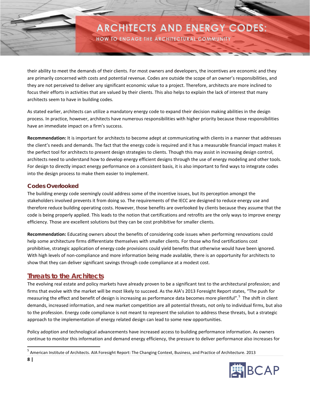HOW TO ENGAGE THE ARCHITECTURAL COMMUNITY

their ability to meet the demands of their clients. For most owners and developers, the incentives are economic and they are primarily concerned with costs and potential revenue. Codes are outside the scope of an owner's responsibilities, and they are not perceived to deliver any significant economic value to a project. Therefore, architects are more inclined to focus their efforts in activities that are valued by their clients. This also helps to explain the lack of interest that many architects seem to have in building codes.

As stated earlier, architects can utilize a mandatory energy code to expand their decision making abilities in the design process. In practice, however, architects have numerous responsibilities with higher priority because those responsibilities have an immediate impact on a firm's success.

**Recommendation:** It is important for architects to become adept at communicating with clients in a manner that addresses the client's needs and demands. The fact that the energy code is required and it has a measurable financial impact makes it the perfect tool for architects to present design strategies to clients. Though this may assist in increasing design control, architects need to understand how to develop energy efficient designs through the use of energy modeling and other tools. For design to directly impact energy performance on a consistent basis, it is also important to find ways to integrate codes into the design process to make them easier to implement.

### *Codes Overlooked*

The building energy code seemingly could address some of the incentive issues, but its perception amongst the stakeholders involved prevents it from doing so. The requirements of the IECC are designed to reduce energy use and therefore reduce building operating costs. However, those benefits are overlooked by clients because they assume that the code is being properly applied. This leads to the notion that certifications and retrofits are the only ways to improve energy efficiency. Those are excellent solutions but they can be cost prohibitive for smaller clients.

**Recommendation:** Educating owners about the benefits of considering code issues when performing renovations could help some architecture firms differentiate themselves with smaller clients. For those who find certifications cost prohibitive, strategic application of energy code provisions could yield benefits that otherwise would have been ignored. With high levels of non-compliance and more information being made available, there is an opportunity for architects to show that they can deliver significant savings through code compliance at a modest cost.

### <span id="page-8-0"></span>**Threats to the Architects**

The evolving real estate and policy markets have already proven to be a significant test to the architectural profession; and firms that evolve with the market will be most likely to succeed. As the AIA's 2013 Foresight Report states, "The push for measuring the effect and benefit of design is increasing as performance data becomes more plentiful".<sup>[5](#page-8-1)</sup> The shift in client demands, increased information, and new market competition are all potential threats, not only to individual firms, but also to the profession. Energy code compliance is not meant to represent the solution to address these threats, but a strategic approach to the implementation of energy related design can lead to some new opportunities.

Policy adoption and technological advancements have increased access to building performance information. As owners continue to monitor this information and demand energy efficiency, the pressure to deliver performance also increases for

<span id="page-8-1"></span> <sup>5</sup> American Institute of Architects. AIA Foresight Report: The Changing Context, Business, and Practice of Architecture. 2013

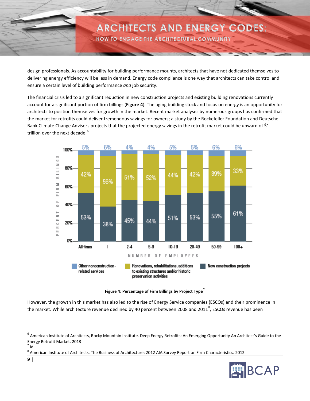HOW TO ENGAGE THE ARCHITECTURAL COMMUNITY

design professionals. As accountability for building performance mounts, architects that have not dedicated themselves to delivering energy efficiency will be less in demand. Energy code compliance is one way that architects can take control and ensure a certain level of building performance *and* job security.

The financial crisis led to a significant reduction in new construction projects and existing building renovations currently account for a significant portion of firm billings (**Figure 4**). The aging building stock and focus on energy is an opportunity for architects to position themselves for growth in the market. Recent market analyses by numerous groups has confirmed that the market for retrofits could deliver tremendous savings for owners; a study by the Rockefeller Foundation and Deutsche Bank Climate Change Advisors projects that the projected energy savings in the retrofit market could be upward of \$1 trillion over the next decade.<sup>[6](#page-9-1)</sup>



**Figure 4: Percentage of Firm Billings by Project Type[7](#page-9-2)**

<span id="page-9-0"></span>However, the growth in this market has also led to the rise of Energy Service companies (ESCOs) and their prominence in the market. While architecture revenue declined by 40 percent between 200[8](#page-9-3) and 2011<sup>8</sup>, ESCOs revenue has been

<span id="page-9-3"></span><sup>&</sup>lt;sup>8</sup> American Institute of Architects. The Business of Architecture: 2012 AIA Survey Report on Firm Characteristics. 2012



<span id="page-9-1"></span><sup>&</sup>lt;sup>6</sup> American Institute of Architects, Rocky Mountain Institute. Deep Energy Retrofits: An Emerging Opportunity An Architect's Guide to the Energy Retrofit Market. 2013

<span id="page-9-2"></span> $<sup>7</sup>$  Id.</sup>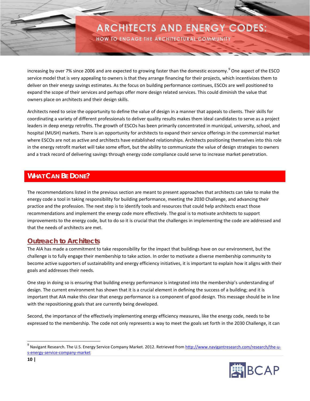HOW TO ENGAGE THE ARCHITECTURAL COMMUNITY

increasing by over 7% since 2006 and are expected to growing faster than the domestic economy.<sup>[9](#page-10-2)</sup> One aspect of the ESCO service model that is very appealing to owners is that they arrange financing for their projects, which incentivizes them to deliver on their energy savings estimates. As the focus on building performance continues, ESCOs are well positioned to expand the scope of their services and perhaps offer more design related services. This could diminish the value that owners place on architects and their design skills.

Architects need to seize the opportunity to define the value of design in a manner that appeals to clients. Their skills for coordinating a variety of different professionals to deliver quality results makes them ideal candidates to serve as a project leaders in deep energy retrofits. The growth of ESCOs has been primarily concentrated in municipal, university, school, and hospital (MUSH) markets. There is an opportunity for architects to expand their service offerings in the commercial market where ESCOs are not as active and architects have established relationships. Architects positioning themselves into this role in the energy retrofit market will take some effort, but the ability to communicate the value of design strategies to owners and a track record of delivering savings through energy code compliance could serve to increase market penetration.

### <span id="page-10-0"></span>**WHAT CAN BE DONE?**

The recommendations listed in the previous section are meant to present approaches that architects can take to make the energy code a tool in taking responsibility for building performance, meeting the 2030 Challenge, and advancing their practice and the profession. The next step is to identify tools and resources that could help architects enact those recommendations and implement the energy code more effectively. The goal is to motivate architects to support improvements to the energy code, but to do so it is crucial that the challenges in implementing the code are addressed and that the needs of architects are met.

### <span id="page-10-1"></span>**Outreach to Architects**

The AIA has made a commitment to take responsibility for the impact that buildings have on our environment, but the challenge is to fully engage their membership to take action. In order to motivate a diverse membership community to become active supporters of sustainability and energy efficiency initiatives, it is important to explain how it aligns with their goals and addresses their needs.

One step in doing so is ensuring that building energy performance is integrated into the membership's understanding of design. The current environment has shown that it is a crucial element in defining the success of a building; and it is important that AIA make this clear that energy performance is a component of good design. This message should be in line with the repositioning goals that are currently being developed.

Second, the importance of the effectively implementing energy efficiency measures, like the energy code, needs to be expressed to the membership. The code not only represents a way to meet the goals set forth in the 2030 Challenge, it can

<span id="page-10-2"></span>Navigant Research. The U.S. Energy Service Company Market. 2012. Retrieved fro[m http://www.navigantresearch.com/research/the-u](http://www.navigantresearch.com/research/the-u-s-energy-service-company-market)[s-energy-service-company-market](http://www.navigantresearch.com/research/the-u-s-energy-service-company-market)

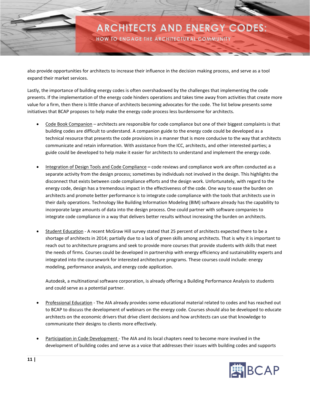HOW TO ENGAGE THE ARCHITECTURAL COMMUNITY

also provide opportunities for architects to increase their influence in the decision making process, and serve as a tool expand their market services.

Lastly, the importance of building energy codes is often overshadowed by the challenges that implementing the code presents. If the implementation of the energy code hinders operations and takes time away from activities that create more value for a firm, then there is little chance of architects becoming advocates for the code. The list below presents some initiatives that BCAP proposes to help make the energy code process less burdensome for architects.

- Code Book Companion architects are responsible for code compliance but one of their biggest complaints is that building codes are difficult to understand. A companion guide to the energy code could be developed as a technical resource that presents the code provisions in a manner that is more conducive to the way that architects communicate and retain information. With assistance from the ICC, architects, and other interested parties; a guide could be developed to help make it easier for architects to understand and implement the energy code.
- Integration of Design Tools and Code Compliance **–** code reviews and compliance work are often conducted as a separate activity from the design process; sometimes by individuals not involved in the design. This highlights the disconnect that exists between code compliance efforts and the design work. Unfortunately, with regard to the energy code, design has a tremendous impact in the effectiveness of the code. One way to ease the burden on architects and promote better performance is to integrate code compliance with the tools that architects use in their daily operations. Technology like Building Information Modeling (BIM) software already has the capability to incorporate large amounts of data into the design process. One could partner with software companies to integrate code compliance in a way that delivers better results without increasing the burden on architects.
- Student Education A recent McGraw Hill survey stated that 25 percent of architects expected there to be a shortage of architects in 2014; partially due to a lack of green skills among architects. That is why it is important to reach out to architecture programs and seek to provide more courses that provide students with skills that meet the needs of firms. Courses could be developed in partnership with energy efficiency and sustainability experts and integrated into the coursework for interested architecture programs. These courses could include: energy modeling, performance analysis, and energy code application.

Autodesk, a multinational software corporation, is already offering a Building Performance Analysis to students and could serve as a potential partner.

- Professional Education The AIA already provides some educational material related to codes and has reached out to BCAP to discuss the development of webinars on the energy code. Courses should also be developed to educate architects on the economic drivers that drive client decisions and how architects can use that knowledge to communicate their designs to clients more effectively.
- Participation in Code Development The AIA and its local chapters need to become more involved in the development of building codes and serve as a voice that addresses their issues with building codes and supports